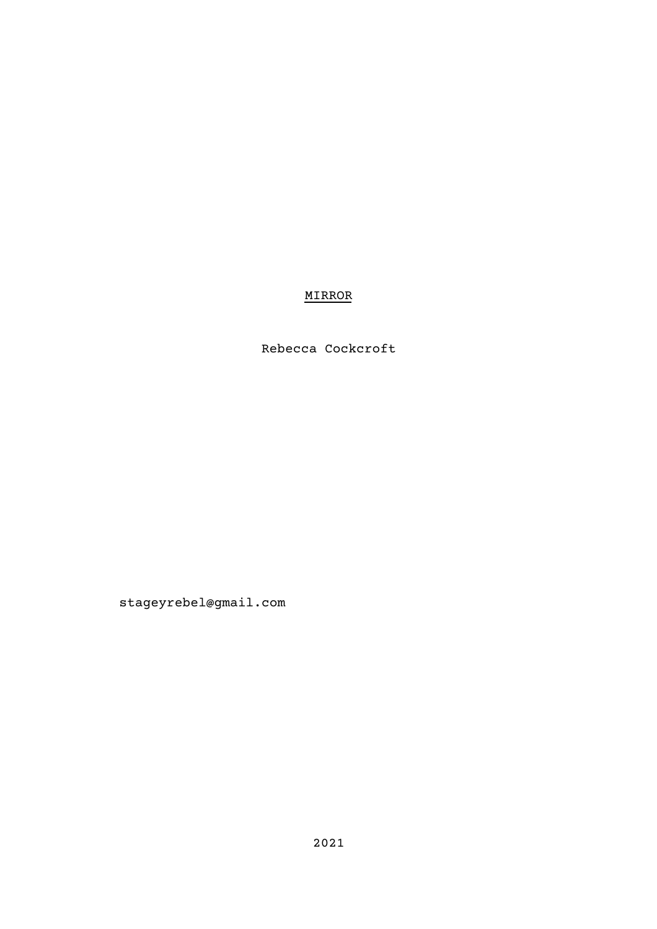# MIRROR

Rebecca Cockcroft

stageyrebel@gmail.com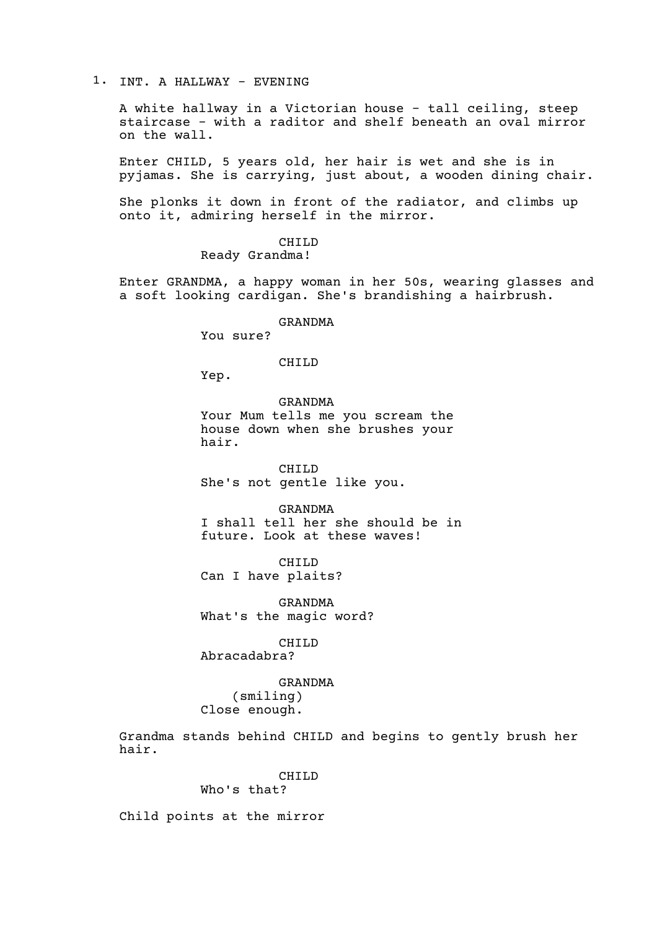## 1. INT. A HALLWAY - EVENING

A white hallway in a Victorian house - tall ceiling, steep staircase - with a raditor and shelf beneath an oval mirror on the wall.

Enter CHILD, 5 years old, her hair is wet and she is in pyjamas. She is carrying, just about, a wooden dining chair.

She plonks it down in front of the radiator, and climbs up onto it, admiring herself in the mirror.

> CHILD Ready Grandma!

Enter GRANDMA, a happy woman in her 50s, wearing glasses and a soft looking cardigan. She's brandishing a hairbrush.

#### GRANDMA

You sure?

### CHILD

Yep.

GRANDMA Your Mum tells me you scream the house down when she brushes your hair.

CHILD She's not gentle like you.

GRANDMA I shall tell her she should be in future. Look at these waves!

CHILD Can I have plaits?

GRANDMA What's the magic word?

### CHILD

Abracadabra?

GRANDMA (smiling) Close enough.

Grandma stands behind CHILD and begins to gently brush her hair.

#### CHILD Who's that?

Child points at the mirror